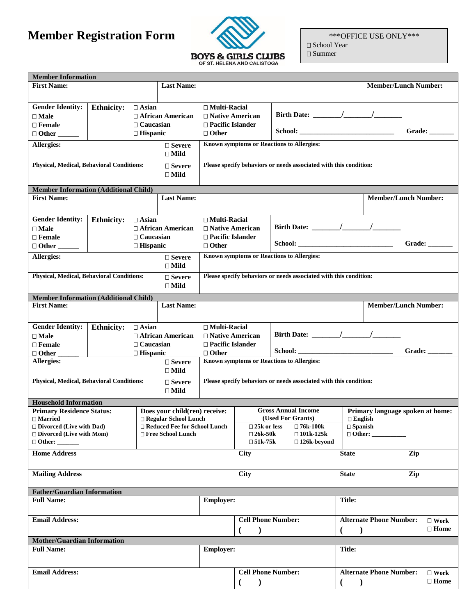## **Member Registration Form**



\*\*\*OFFICE USE ONLY\*\*\* □ School Year

□ Summer

| <b>Member/Lunch Number:</b><br><b>First Name:</b><br><b>Last Name:</b><br><b>Gender Identity:</b><br><b>Ethnicity:</b><br>$\Box$ Asian<br>$\Box$ Multi-Racial<br>□ African American<br>$\Box$ Native American<br>$\square$ Male<br>$\Box$ Caucasian<br>$\Box$ Pacific Islander<br>$\Box$ Female<br>School:<br>$\Box$ Hispanic<br>$\Box$ Other<br>Known symptoms or Reactions to Allergies:<br>Allergies:<br>$\square$ Severe<br>$\square$ Mild<br><b>Physical, Medical, Behavioral Conditions:</b><br>Please specify behaviors or needs associated with this condition:<br>$\square$ Severe<br>$\square$ Mild<br><b>Member Information (Additional Child)</b><br><b>First Name:</b><br><b>Last Name:</b><br><b>Member/Lunch Number:</b><br><b>Gender Identity:</b><br><b>Ethnicity:</b><br>$\Box$ Asian<br>$\Box$ Multi-Racial<br>Birth Date: $\frac{1}{\sqrt{1-\frac{1}{2}}}\left  \frac{1}{\sqrt{1-\frac{1}{2}}}\right $<br>$\Box$ African American<br>$\Box$ Native American<br>$\square$ Male<br>$\Box$ Caucasian<br>□ Pacific Islander<br>$\Box$ Female<br>$\Box$ Hispanic<br>$\Box$ Other<br>Known symptoms or Reactions to Allergies:<br>Allergies:<br>$\Box$ Severe<br>$\Box$ Mild<br><b>Physical, Medical, Behavioral Conditions:</b><br>Please specify behaviors or needs associated with this condition:<br>$\Box$ Severe<br>$\Box$ Mild<br><b>Member Information (Additional Child)</b><br><b>Last Name:</b><br><b>Member/Lunch Number:</b><br><b>First Name:</b><br><b>Gender Identity:</b><br><b>Ethnicity:</b><br>$\Box$ Asian<br>$\Box$ Multi-Racial<br>$\Box$ African American<br>$\Box$ Native American<br>$\Box$ Male<br>$\Box$ Caucasian<br>$\Box$ Pacific Islander<br>$\Box$ Female<br>$\Box$ Other<br>$\Box$ Other<br>$\Box$ Hispanic<br>Known symptoms or Reactions to Allergies:<br><b>Allergies:</b><br>$\square$ Severe<br>$\Box$ Mild<br>Physical, Medical, Behavioral Conditions:<br>Please specify behaviors or needs associated with this condition:<br>$\square$ Severe<br>$\Box$ Mild<br><b>Household Information</b><br><b>Primary Residence Status:</b><br><b>Gross Annual Income</b><br>Does your child(ren) receive:<br>(Used For Grants)<br>□ Regular School Lunch<br>$\Box$ English<br>$\square$ Married<br>□ Divorced (Live with Dad)<br>$\square$ Spanish<br>□ Reduced Fee for School Lunch<br>$\square$ 25k or less<br>□ 76k-100k<br>$\Box$ Divorced (Live with Mom)<br>□ Free School Lunch<br>$\square$ 26k-50k<br>$\square$ 101k-125k<br>$\Box$ Other:<br>$\square$ 51k-75k<br>□ 126k-beyond<br><b>Home Address</b><br>City<br>Zip<br><b>State</b><br><b>Mailing Address</b><br>City<br>Zip<br><b>State</b><br><b>Father/Guardian Information</b><br><b>Title:</b><br><b>Full Name:</b><br><b>Employer:</b><br><b>Cell Phone Number:</b><br><b>Alternate Phone Number:</b><br><b>Email Address:</b><br><b>Mother/Guardian Information</b><br><b>Full Name:</b><br>Employer:<br><b>Title:</b><br><b>Email Address:</b><br><b>Cell Phone Number:</b><br><b>Alternate Phone Number:</b> | <b>Member Information</b> |  |  |  |               |  |                               |                                  |  |                                  |               |
|---------------------------------------------------------------------------------------------------------------------------------------------------------------------------------------------------------------------------------------------------------------------------------------------------------------------------------------------------------------------------------------------------------------------------------------------------------------------------------------------------------------------------------------------------------------------------------------------------------------------------------------------------------------------------------------------------------------------------------------------------------------------------------------------------------------------------------------------------------------------------------------------------------------------------------------------------------------------------------------------------------------------------------------------------------------------------------------------------------------------------------------------------------------------------------------------------------------------------------------------------------------------------------------------------------------------------------------------------------------------------------------------------------------------------------------------------------------------------------------------------------------------------------------------------------------------------------------------------------------------------------------------------------------------------------------------------------------------------------------------------------------------------------------------------------------------------------------------------------------------------------------------------------------------------------------------------------------------------------------------------------------------------------------------------------------------------------------------------------------------------------------------------------------------------------------------------------------------------------------------------------------------------------------------------------------------------------------------------------------------------------------------------------------------------------------------------------------------------------------------------------------------------------------------------------------------------------------------------------------------------------------------------------------------------------------------------------------------------------------------------------------------------------------------------------------------------------------------------------------------------------------------------------------------------------------------------------------------------------------------------------------------------------|---------------------------|--|--|--|---------------|--|-------------------------------|----------------------------------|--|----------------------------------|---------------|
|                                                                                                                                                                                                                                                                                                                                                                                                                                                                                                                                                                                                                                                                                                                                                                                                                                                                                                                                                                                                                                                                                                                                                                                                                                                                                                                                                                                                                                                                                                                                                                                                                                                                                                                                                                                                                                                                                                                                                                                                                                                                                                                                                                                                                                                                                                                                                                                                                                                                                                                                                                                                                                                                                                                                                                                                                                                                                                                                                                                                                                 |                           |  |  |  |               |  |                               |                                  |  |                                  |               |
|                                                                                                                                                                                                                                                                                                                                                                                                                                                                                                                                                                                                                                                                                                                                                                                                                                                                                                                                                                                                                                                                                                                                                                                                                                                                                                                                                                                                                                                                                                                                                                                                                                                                                                                                                                                                                                                                                                                                                                                                                                                                                                                                                                                                                                                                                                                                                                                                                                                                                                                                                                                                                                                                                                                                                                                                                                                                                                                                                                                                                                 |                           |  |  |  |               |  |                               |                                  |  |                                  | Grade: $\_\_$ |
|                                                                                                                                                                                                                                                                                                                                                                                                                                                                                                                                                                                                                                                                                                                                                                                                                                                                                                                                                                                                                                                                                                                                                                                                                                                                                                                                                                                                                                                                                                                                                                                                                                                                                                                                                                                                                                                                                                                                                                                                                                                                                                                                                                                                                                                                                                                                                                                                                                                                                                                                                                                                                                                                                                                                                                                                                                                                                                                                                                                                                                 |                           |  |  |  |               |  |                               |                                  |  |                                  |               |
|                                                                                                                                                                                                                                                                                                                                                                                                                                                                                                                                                                                                                                                                                                                                                                                                                                                                                                                                                                                                                                                                                                                                                                                                                                                                                                                                                                                                                                                                                                                                                                                                                                                                                                                                                                                                                                                                                                                                                                                                                                                                                                                                                                                                                                                                                                                                                                                                                                                                                                                                                                                                                                                                                                                                                                                                                                                                                                                                                                                                                                 |                           |  |  |  |               |  |                               |                                  |  |                                  |               |
|                                                                                                                                                                                                                                                                                                                                                                                                                                                                                                                                                                                                                                                                                                                                                                                                                                                                                                                                                                                                                                                                                                                                                                                                                                                                                                                                                                                                                                                                                                                                                                                                                                                                                                                                                                                                                                                                                                                                                                                                                                                                                                                                                                                                                                                                                                                                                                                                                                                                                                                                                                                                                                                                                                                                                                                                                                                                                                                                                                                                                                 |                           |  |  |  |               |  |                               |                                  |  |                                  |               |
|                                                                                                                                                                                                                                                                                                                                                                                                                                                                                                                                                                                                                                                                                                                                                                                                                                                                                                                                                                                                                                                                                                                                                                                                                                                                                                                                                                                                                                                                                                                                                                                                                                                                                                                                                                                                                                                                                                                                                                                                                                                                                                                                                                                                                                                                                                                                                                                                                                                                                                                                                                                                                                                                                                                                                                                                                                                                                                                                                                                                                                 |                           |  |  |  |               |  |                               |                                  |  |                                  |               |
|                                                                                                                                                                                                                                                                                                                                                                                                                                                                                                                                                                                                                                                                                                                                                                                                                                                                                                                                                                                                                                                                                                                                                                                                                                                                                                                                                                                                                                                                                                                                                                                                                                                                                                                                                                                                                                                                                                                                                                                                                                                                                                                                                                                                                                                                                                                                                                                                                                                                                                                                                                                                                                                                                                                                                                                                                                                                                                                                                                                                                                 |                           |  |  |  |               |  |                               |                                  |  |                                  |               |
|                                                                                                                                                                                                                                                                                                                                                                                                                                                                                                                                                                                                                                                                                                                                                                                                                                                                                                                                                                                                                                                                                                                                                                                                                                                                                                                                                                                                                                                                                                                                                                                                                                                                                                                                                                                                                                                                                                                                                                                                                                                                                                                                                                                                                                                                                                                                                                                                                                                                                                                                                                                                                                                                                                                                                                                                                                                                                                                                                                                                                                 |                           |  |  |  |               |  |                               |                                  |  |                                  |               |
|                                                                                                                                                                                                                                                                                                                                                                                                                                                                                                                                                                                                                                                                                                                                                                                                                                                                                                                                                                                                                                                                                                                                                                                                                                                                                                                                                                                                                                                                                                                                                                                                                                                                                                                                                                                                                                                                                                                                                                                                                                                                                                                                                                                                                                                                                                                                                                                                                                                                                                                                                                                                                                                                                                                                                                                                                                                                                                                                                                                                                                 |                           |  |  |  |               |  |                               |                                  |  |                                  |               |
|                                                                                                                                                                                                                                                                                                                                                                                                                                                                                                                                                                                                                                                                                                                                                                                                                                                                                                                                                                                                                                                                                                                                                                                                                                                                                                                                                                                                                                                                                                                                                                                                                                                                                                                                                                                                                                                                                                                                                                                                                                                                                                                                                                                                                                                                                                                                                                                                                                                                                                                                                                                                                                                                                                                                                                                                                                                                                                                                                                                                                                 |                           |  |  |  |               |  |                               |                                  |  |                                  | Grade:        |
|                                                                                                                                                                                                                                                                                                                                                                                                                                                                                                                                                                                                                                                                                                                                                                                                                                                                                                                                                                                                                                                                                                                                                                                                                                                                                                                                                                                                                                                                                                                                                                                                                                                                                                                                                                                                                                                                                                                                                                                                                                                                                                                                                                                                                                                                                                                                                                                                                                                                                                                                                                                                                                                                                                                                                                                                                                                                                                                                                                                                                                 |                           |  |  |  |               |  |                               |                                  |  |                                  |               |
|                                                                                                                                                                                                                                                                                                                                                                                                                                                                                                                                                                                                                                                                                                                                                                                                                                                                                                                                                                                                                                                                                                                                                                                                                                                                                                                                                                                                                                                                                                                                                                                                                                                                                                                                                                                                                                                                                                                                                                                                                                                                                                                                                                                                                                                                                                                                                                                                                                                                                                                                                                                                                                                                                                                                                                                                                                                                                                                                                                                                                                 |                           |  |  |  |               |  |                               |                                  |  |                                  |               |
|                                                                                                                                                                                                                                                                                                                                                                                                                                                                                                                                                                                                                                                                                                                                                                                                                                                                                                                                                                                                                                                                                                                                                                                                                                                                                                                                                                                                                                                                                                                                                                                                                                                                                                                                                                                                                                                                                                                                                                                                                                                                                                                                                                                                                                                                                                                                                                                                                                                                                                                                                                                                                                                                                                                                                                                                                                                                                                                                                                                                                                 |                           |  |  |  |               |  |                               |                                  |  |                                  |               |
|                                                                                                                                                                                                                                                                                                                                                                                                                                                                                                                                                                                                                                                                                                                                                                                                                                                                                                                                                                                                                                                                                                                                                                                                                                                                                                                                                                                                                                                                                                                                                                                                                                                                                                                                                                                                                                                                                                                                                                                                                                                                                                                                                                                                                                                                                                                                                                                                                                                                                                                                                                                                                                                                                                                                                                                                                                                                                                                                                                                                                                 |                           |  |  |  |               |  |                               |                                  |  |                                  |               |
|                                                                                                                                                                                                                                                                                                                                                                                                                                                                                                                                                                                                                                                                                                                                                                                                                                                                                                                                                                                                                                                                                                                                                                                                                                                                                                                                                                                                                                                                                                                                                                                                                                                                                                                                                                                                                                                                                                                                                                                                                                                                                                                                                                                                                                                                                                                                                                                                                                                                                                                                                                                                                                                                                                                                                                                                                                                                                                                                                                                                                                 |                           |  |  |  |               |  |                               |                                  |  |                                  |               |
|                                                                                                                                                                                                                                                                                                                                                                                                                                                                                                                                                                                                                                                                                                                                                                                                                                                                                                                                                                                                                                                                                                                                                                                                                                                                                                                                                                                                                                                                                                                                                                                                                                                                                                                                                                                                                                                                                                                                                                                                                                                                                                                                                                                                                                                                                                                                                                                                                                                                                                                                                                                                                                                                                                                                                                                                                                                                                                                                                                                                                                 |                           |  |  |  |               |  |                               |                                  |  |                                  |               |
|                                                                                                                                                                                                                                                                                                                                                                                                                                                                                                                                                                                                                                                                                                                                                                                                                                                                                                                                                                                                                                                                                                                                                                                                                                                                                                                                                                                                                                                                                                                                                                                                                                                                                                                                                                                                                                                                                                                                                                                                                                                                                                                                                                                                                                                                                                                                                                                                                                                                                                                                                                                                                                                                                                                                                                                                                                                                                                                                                                                                                                 |                           |  |  |  |               |  |                               |                                  |  |                                  | Grade: $\_\_$ |
|                                                                                                                                                                                                                                                                                                                                                                                                                                                                                                                                                                                                                                                                                                                                                                                                                                                                                                                                                                                                                                                                                                                                                                                                                                                                                                                                                                                                                                                                                                                                                                                                                                                                                                                                                                                                                                                                                                                                                                                                                                                                                                                                                                                                                                                                                                                                                                                                                                                                                                                                                                                                                                                                                                                                                                                                                                                                                                                                                                                                                                 |                           |  |  |  |               |  |                               |                                  |  |                                  |               |
|                                                                                                                                                                                                                                                                                                                                                                                                                                                                                                                                                                                                                                                                                                                                                                                                                                                                                                                                                                                                                                                                                                                                                                                                                                                                                                                                                                                                                                                                                                                                                                                                                                                                                                                                                                                                                                                                                                                                                                                                                                                                                                                                                                                                                                                                                                                                                                                                                                                                                                                                                                                                                                                                                                                                                                                                                                                                                                                                                                                                                                 |                           |  |  |  |               |  |                               |                                  |  |                                  |               |
|                                                                                                                                                                                                                                                                                                                                                                                                                                                                                                                                                                                                                                                                                                                                                                                                                                                                                                                                                                                                                                                                                                                                                                                                                                                                                                                                                                                                                                                                                                                                                                                                                                                                                                                                                                                                                                                                                                                                                                                                                                                                                                                                                                                                                                                                                                                                                                                                                                                                                                                                                                                                                                                                                                                                                                                                                                                                                                                                                                                                                                 |                           |  |  |  |               |  |                               |                                  |  |                                  |               |
|                                                                                                                                                                                                                                                                                                                                                                                                                                                                                                                                                                                                                                                                                                                                                                                                                                                                                                                                                                                                                                                                                                                                                                                                                                                                                                                                                                                                                                                                                                                                                                                                                                                                                                                                                                                                                                                                                                                                                                                                                                                                                                                                                                                                                                                                                                                                                                                                                                                                                                                                                                                                                                                                                                                                                                                                                                                                                                                                                                                                                                 |                           |  |  |  |               |  |                               | Primary language spoken at home: |  |                                  |               |
|                                                                                                                                                                                                                                                                                                                                                                                                                                                                                                                                                                                                                                                                                                                                                                                                                                                                                                                                                                                                                                                                                                                                                                                                                                                                                                                                                                                                                                                                                                                                                                                                                                                                                                                                                                                                                                                                                                                                                                                                                                                                                                                                                                                                                                                                                                                                                                                                                                                                                                                                                                                                                                                                                                                                                                                                                                                                                                                                                                                                                                 |                           |  |  |  |               |  |                               |                                  |  |                                  |               |
|                                                                                                                                                                                                                                                                                                                                                                                                                                                                                                                                                                                                                                                                                                                                                                                                                                                                                                                                                                                                                                                                                                                                                                                                                                                                                                                                                                                                                                                                                                                                                                                                                                                                                                                                                                                                                                                                                                                                                                                                                                                                                                                                                                                                                                                                                                                                                                                                                                                                                                                                                                                                                                                                                                                                                                                                                                                                                                                                                                                                                                 |                           |  |  |  |               |  |                               |                                  |  |                                  |               |
|                                                                                                                                                                                                                                                                                                                                                                                                                                                                                                                                                                                                                                                                                                                                                                                                                                                                                                                                                                                                                                                                                                                                                                                                                                                                                                                                                                                                                                                                                                                                                                                                                                                                                                                                                                                                                                                                                                                                                                                                                                                                                                                                                                                                                                                                                                                                                                                                                                                                                                                                                                                                                                                                                                                                                                                                                                                                                                                                                                                                                                 |                           |  |  |  |               |  |                               |                                  |  |                                  |               |
|                                                                                                                                                                                                                                                                                                                                                                                                                                                                                                                                                                                                                                                                                                                                                                                                                                                                                                                                                                                                                                                                                                                                                                                                                                                                                                                                                                                                                                                                                                                                                                                                                                                                                                                                                                                                                                                                                                                                                                                                                                                                                                                                                                                                                                                                                                                                                                                                                                                                                                                                                                                                                                                                                                                                                                                                                                                                                                                                                                                                                                 |                           |  |  |  |               |  |                               |                                  |  |                                  |               |
|                                                                                                                                                                                                                                                                                                                                                                                                                                                                                                                                                                                                                                                                                                                                                                                                                                                                                                                                                                                                                                                                                                                                                                                                                                                                                                                                                                                                                                                                                                                                                                                                                                                                                                                                                                                                                                                                                                                                                                                                                                                                                                                                                                                                                                                                                                                                                                                                                                                                                                                                                                                                                                                                                                                                                                                                                                                                                                                                                                                                                                 |                           |  |  |  |               |  |                               |                                  |  |                                  |               |
|                                                                                                                                                                                                                                                                                                                                                                                                                                                                                                                                                                                                                                                                                                                                                                                                                                                                                                                                                                                                                                                                                                                                                                                                                                                                                                                                                                                                                                                                                                                                                                                                                                                                                                                                                                                                                                                                                                                                                                                                                                                                                                                                                                                                                                                                                                                                                                                                                                                                                                                                                                                                                                                                                                                                                                                                                                                                                                                                                                                                                                 |                           |  |  |  |               |  |                               |                                  |  |                                  |               |
|                                                                                                                                                                                                                                                                                                                                                                                                                                                                                                                                                                                                                                                                                                                                                                                                                                                                                                                                                                                                                                                                                                                                                                                                                                                                                                                                                                                                                                                                                                                                                                                                                                                                                                                                                                                                                                                                                                                                                                                                                                                                                                                                                                                                                                                                                                                                                                                                                                                                                                                                                                                                                                                                                                                                                                                                                                                                                                                                                                                                                                 |                           |  |  |  |               |  |                               |                                  |  |                                  |               |
|                                                                                                                                                                                                                                                                                                                                                                                                                                                                                                                                                                                                                                                                                                                                                                                                                                                                                                                                                                                                                                                                                                                                                                                                                                                                                                                                                                                                                                                                                                                                                                                                                                                                                                                                                                                                                                                                                                                                                                                                                                                                                                                                                                                                                                                                                                                                                                                                                                                                                                                                                                                                                                                                                                                                                                                                                                                                                                                                                                                                                                 |                           |  |  |  |               |  | $\square$ Work<br>$\Box$ Home |                                  |  |                                  |               |
|                                                                                                                                                                                                                                                                                                                                                                                                                                                                                                                                                                                                                                                                                                                                                                                                                                                                                                                                                                                                                                                                                                                                                                                                                                                                                                                                                                                                                                                                                                                                                                                                                                                                                                                                                                                                                                                                                                                                                                                                                                                                                                                                                                                                                                                                                                                                                                                                                                                                                                                                                                                                                                                                                                                                                                                                                                                                                                                                                                                                                                 |                           |  |  |  |               |  |                               |                                  |  |                                  |               |
|                                                                                                                                                                                                                                                                                                                                                                                                                                                                                                                                                                                                                                                                                                                                                                                                                                                                                                                                                                                                                                                                                                                                                                                                                                                                                                                                                                                                                                                                                                                                                                                                                                                                                                                                                                                                                                                                                                                                                                                                                                                                                                                                                                                                                                                                                                                                                                                                                                                                                                                                                                                                                                                                                                                                                                                                                                                                                                                                                                                                                                 |                           |  |  |  |               |  |                               |                                  |  |                                  |               |
| $\mathcal{E}$<br>€                                                                                                                                                                                                                                                                                                                                                                                                                                                                                                                                                                                                                                                                                                                                                                                                                                                                                                                                                                                                                                                                                                                                                                                                                                                                                                                                                                                                                                                                                                                                                                                                                                                                                                                                                                                                                                                                                                                                                                                                                                                                                                                                                                                                                                                                                                                                                                                                                                                                                                                                                                                                                                                                                                                                                                                                                                                                                                                                                                                                              |                           |  |  |  | $\mathcal{E}$ |  |                               |                                  |  | $\square$ Work<br>$\square$ Home |               |